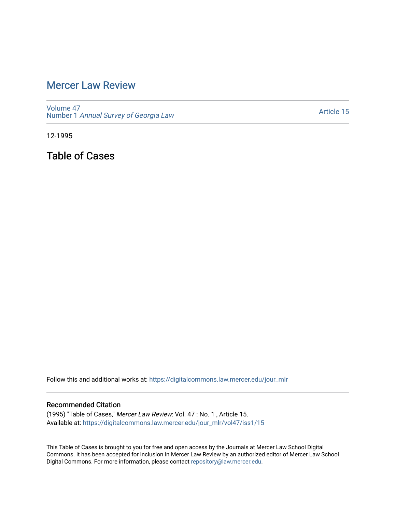# [Mercer Law Review](https://digitalcommons.law.mercer.edu/jour_mlr)

[Volume 47](https://digitalcommons.law.mercer.edu/jour_mlr/vol47) Number 1 [Annual Survey of Georgia Law](https://digitalcommons.law.mercer.edu/jour_mlr/vol47/iss1) 

[Article 15](https://digitalcommons.law.mercer.edu/jour_mlr/vol47/iss1/15) 

12-1995

Table of Cases

Follow this and additional works at: [https://digitalcommons.law.mercer.edu/jour\\_mlr](https://digitalcommons.law.mercer.edu/jour_mlr?utm_source=digitalcommons.law.mercer.edu%2Fjour_mlr%2Fvol47%2Fiss1%2F15&utm_medium=PDF&utm_campaign=PDFCoverPages)

## Recommended Citation

(1995) "Table of Cases," Mercer Law Review: Vol. 47 : No. 1 , Article 15. Available at: [https://digitalcommons.law.mercer.edu/jour\\_mlr/vol47/iss1/15](https://digitalcommons.law.mercer.edu/jour_mlr/vol47/iss1/15?utm_source=digitalcommons.law.mercer.edu%2Fjour_mlr%2Fvol47%2Fiss1%2F15&utm_medium=PDF&utm_campaign=PDFCoverPages) 

This Table of Cases is brought to you for free and open access by the Journals at Mercer Law School Digital Commons. It has been accepted for inclusion in Mercer Law Review by an authorized editor of Mercer Law School Digital Commons. For more information, please contact [repository@law.mercer.edu](mailto:repository@law.mercer.edu).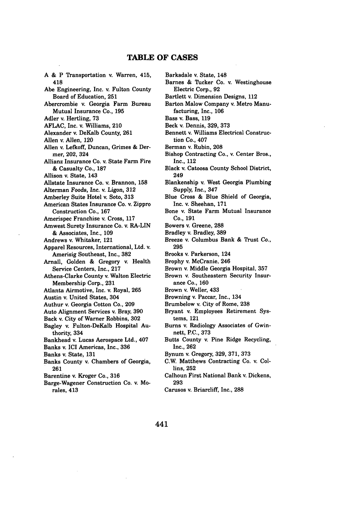### **TABLE OF CASES**

**A &** P Transportation v. Warren, 415, 418 Abe Engineering, Inc. **v.** Fulton County Board of Education, **251** Abercrombie v. Georgia Farm Bureau Mutual Insurance Co., **195** Adler v. Hertling, **73 AFLAC,** Inc. v. Williams, 210 Alexander v. DeKalb County, **261** Allen v. Allen, 120 Allen v. Lefkoff, Duncan, Grimes & Dermer, 202, 324 Allianz Insurance Co. v. State Farm Fire & Casualty Co., 187 Allison v. State, 143 Allstate Insurance Co. v. Brannon, **158** Alterman Foods, Inc. v. Ligon, **312** Amberley Suite Hotel v. Soto, **313** American States Insurance Co. v. Zippro Construction Co., **167** Amerispec Franchise v. Cross, **117** Amwest Surety Insurance Co. v. RA-LIN **&** Associates, Inc., **109** Andrews v. Whitaker, 121 Apparel Resources, International, Ltd. v. Amerisig Southeast, Inc., **382** Arnall, Golden **&** Gregory v. Health Service Centers, Inc., **217** Athens-Clarke County v. Walton Electric Membership Corp., **231** Atlanta Airmotive, Inc. v. Royal, **265** Austin v. United States, 304 Authur v. Georgia Cotton Co., **209** Auto Alignment Services v. Bray, **390** Back v. City of Warner Robbins, **302** Bagley v. Fulton-DeKalb Hospital Authority, 334 Bankhead v. Lucas Aerospace Ltd., 407 Banks v. **ICI** Americas, Inc., **336** Banks v. State, **131** Banks County v. Chambers of Georgia, **261** Barentine v. Kroger Co., **316** Barge-Wagener Construction Co. v. Morales, 413

Barksdale v. State, 148 Barnes & Tucker Co. v. Westinghouse Electric Corp., **92** Bartlett v. Dimension Designs, 112 Barton Malow Company v. Metro Manufacturing, Inc., **106** Bass v. Bass, **119** Beck v. Dennis, **329, 373** Bennett v. Williams Electrical Construction Co., 407 Berman v. Rubin, **208** Bishop Contracting Co., v. Center Bros., Inc., 112 Black v. Catoosa County School District, 249 Blankenship v. West Georgia Plumbing Supply, Inc., 347 Blue Cross & Blue Shield of Georgia, Inc. v. Sheehan, 171 Bone v. State Farm Mutual Insurance Co., **191** Bowers v. Greene, **288** Bradley v. Bradley, **389** Breeze v. Columbus Bank **&** Trust Co., **295** Brooks v. Parkerson, 124 Brophy v. McCranie. 246 Brown v. Middle Georgia Hospital, **357** Brown v. Southeastern Security Insurance Co., **160** Brown v. Weller, 433 Browning v. Paccar, Inc., 134 Brumbelow v. City of Rome, **238** Bryant v. Employees Retirement Systems, 121 Burns v. Radiology Associates of Gwinnett, **P.C., 373** Butts County v. Pine Ridge Recycling, Inc., **262** Bynum v. Gregory, **329,** 371, **373** C.W. Matthews Contracting Co. v. Collins, **252** Calhoun First National Bank v, Dickens, **293** Carusos **v,** Briarcliff, Inc., **288**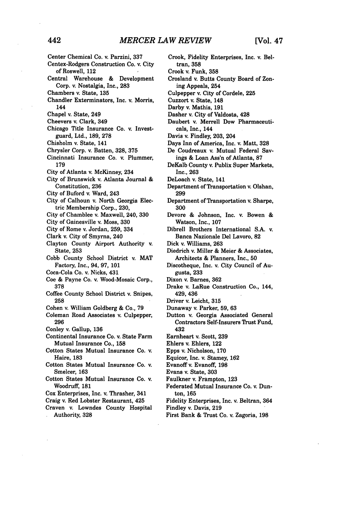- Center Chemical Co. v. Parzini, **337**
- Centex-Rodgers Construction Co. v. City of Roswell, 112
- Central Warehouse & Development Corp. v. Nostalgia, Inc., **283**
- Chambers v. State, 135
- Chandler Exterminators, Inc. v. Morris, 144
- Chapel v. State, 249
- Cheevers v. Clark, 349
- Chicago Title Insurance Co. v. Investguard, Ltd., **189,** 278
- Chisholm v. State, 141
- Chrysler Corp. v. Batten, **328,** 375
- Cincinnati Insurance Co. v. Plummer, **179**
- City of Atlanta v. McKinney, 234
- City of Brunswick v. Atlanta Journal & Constitution, **236**
- City of Buford v. Ward, 243
- City of Calhoun v. North Georgia Electric Membership Corp., 230,
- City of Chamblee v. Maxwell, 240, **330**
- City of Gainesville v. Moss, **330**
- City of Rome v. Jordan, **259,** 334
- Clark v. City of Smyrna, 240
- Clayton County Airport Authority v. State, 253
- Cobb County School District v. MAT Factory, Inc., 94, 97, 101
- Coca-Cola Co. v. Nicks, 431
- Coe & Payne Co. v. Wood-Mosaic Corp., 378
- Coffee County School District v. Snipes, **258**
- Cohen v. William Goldberg & Co., **79**
- Coleman Road Associates v. Culpepper, **296**
- Conley v. Gallup, **136**
- Continental Insurance Co. v. State Farm Mutual Insurance Co., **158**
- Cotton States Mutual Insurance Co. v. Haire, **183**
- Cotton States Mutual Insurance Co. v. Smelcer, **163**
- Cotton States Mutual Insurance Co. v. Woodruff, 181
- Cox Enterprises, Inc. v. Thrasher, 341
- Craig v. Red Lobster Restaurant, 425
- Craven v. Lowndes County Hospital Authority, **328**
- Crook, Fidelity Enterprises, Inc. v. Beltran, **358**
- Crook v. Funk, **358**
- Crosland v. Butts County Board of Zoning Appeals, 254
- Culpepper v. City of Cordele, 225
- Cuzzort v. State, 148
- Darby v. Mathis, **191**
- Dasher v. City of Valdosta, 428
- Daubert **v.** Merrell Dow Pharmaceuticals, Inc., 144
- Davis v. Findley, **203,** 204
- Days Inn of America, Inc. v. Matt, **328**
- De Coudreaux v. Mutual Federal Savings **&** Loan Ass'n of Atlanta, **87**
- DeKalb County v. Publix Super Markets, Inc., **263**
- DeLoach v. State, 141
- Department of Transportation v. Olshan, **299**
- Department of Transportation **v.** Sharpe, **300**
- Devore **&** Johnson, Inc. v. Bowen **&** Watson, Inc., **107**
- Dibrell Brothers International **S.A. v.** Banca Nazionale Del Lavoro, **82**
- Dick v. Williams, **263**
- Diedrich v. Miller **&** Meier **&** Associates, Architects **&** Planners, Inc., **50**
- Discotheque, Inc. v. City Council of Augusta, **233**
- Dixon v. Barnes, **362**
- Drake v. LaRue Construction Co., 144, 429, 436
- Driver v. Leicht, **315**
- Dunaway v. Parker, **59, 63**
- Dutton v. Georgia Associated General Contractors Self-Insurers Trust Fund, 432
- Earnheart v. Scott, **239**
- Ehlers v. Ehlers, 122
- Epps v. Nicholson, **170**
- Equicor, Inc. **v.** Stamey, **162**
- Evanoff v. Evanoff, **198**
- Evans v. State, **303**
- Faulkner v. Frampton, **123**
- Federated Mutual Insurance Co. v. Dunton, **165**
- Fidelity Enterprises, Inc. v. Beltran, 364 Findley v. Davis, **219**
- 
- First Bank **&** Trust Co. v. Zagoria, **198**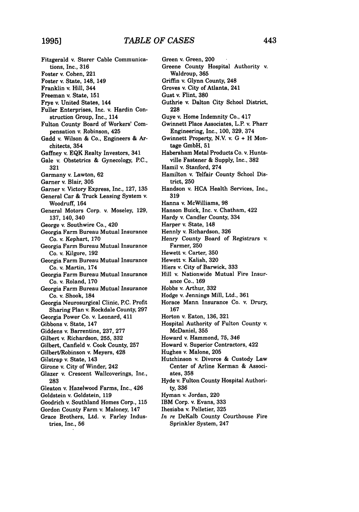Fitzgerald **v.** Storer Cable Communications, Inc., **316** Foster v. Cohen, 221 Foster v. State, 148, 149 Franklin v. Hill, 344 Freeman v. State, **151** Frye v. United States, 144 Fuller Enterprises, Inc. v. Hardin Construction Group, Inc., 114 Fulton County Board of Workers' Compensation v. Robinson, 425 Gadd v. Wilson **&** Co., Engineers & Architects, 354 Gaffney v. EQK Realty Investors, 341 Gale v. Obstetrics & Gynecology, P.C., 321 Garmany v. Lawton, 62 Garner v. Blair, 305 Garner v. Victory Express, Inc., 127, 135 General Car & Truck Leasing System v. Woodruff, 164 General Motors Corp. v. Moseley, 129, 137, 140, 340 George v. Southwire Co., 420 Georgia Farm Bureau Mutual Insurance Co. v. Kephart, **170** Georgia Farm Bureau Mutual Insurance Co. v. Kilgore, 192 Georgia Farm Bureau Mutual Insurance Co. v. Martin, 174 Georgia Farm Bureau Mutual Insurance Co. v. Roland, 170 Georgia Farm Bureau Mutual Insurance Co. v. Shook, 184 Georgia Neurosurgical Clinic, P.C. Profit Sharing Plan v. Rockdale County, 297 Georgia Power Co. v. Leonard, 411 Gibbons **v.** State, 147 Giddens v. Barrentine, 237, 277 Gilbert v. Richardson, **255, 332** Gilbert, Canfield v. Cook County, **257** Gilbert/Robinson v. Meyers, 428 Gilstrap v. State, 143 Girone v. City of Winder, 242 Glazer v. Crescent Wallcoverings, Inc., **283** Gleaton v. Hazelwood Farms, Inc., 426 Goldstein v. Goldstein, **119** Goodrich v. Southland Homes Corp., 115 Gordon County Farm v. Maloney, 147 Grace Brothers, Ltd. v. Farley Industries, Inc., 56

Green v. Green, 200 Greene County Hospital Authority v. Waldroup, 365 Griffin v. Glynn County, 248 Groves v. City of Atlanta, 241 Gust v. Flint, 380 Guthrie v. Dalton City School District, 228 Guye v. Home Indemnity Co., 417 Gwinnett Place Associates, L.P. v. Pharr Engineering, Inc., 100, 329, 374 Gwinnett Property, **N.V.** v. G + H Montage GmbH, 51 Habersham Metal Products Co. v. Huntsville Fastener & Supply, Inc., 382 Hamil v. Stanford, 274 Hamilton v. Telfair County School District, 250 Handson v. **HCA** Health Services, Inc., **319** Hanna v. McWilliams, 98 Hanson Buick, Inc. v. Chatham, 422 Hardy v. Candler County, 334 Harper v. State, 148 Hennly v. Richardson, 326 Henry County Board of Registrars v. Farmer, **250** Hewett v. Carter, **350** Hewett v. Kalish, **320** Hiers v. City of Barwick, **333** Hill v. Nationwide Mutual Fire Insurance Co., **169** Hobbs *v.* Arthur, **332** Hodge v. Jennings Mill, Ltd., **361** Horace Mann Insurance Co. v. Drury, 167 Horton v. Eaton, 136, 321 Hospital Authority of Fulton County v. McDaniel, 355 Howard v. Hammond, 75, 346 Howard v. Superior Contractors, 422 Hughes v. Malone, 205 Hutchinson v. Divorce & Custody Law Center of Arline Kerman & Associates, **358** Hyde v. Fulton County Hospital Authority, 336 Hyman v. Jordan, 220 IBM Corp. v. Evans, 333 Ihesiaba v. Pelletier, 325 *In re* DeKalb County Courthouse Fire Sprinkler System, 247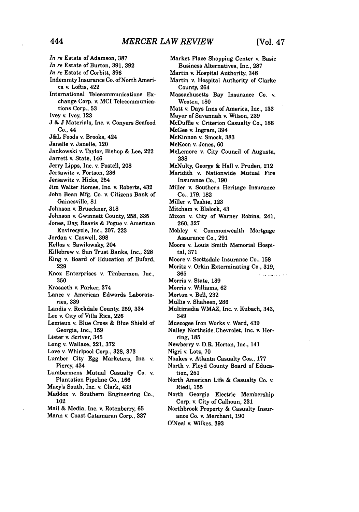*In re* Estate of Adamson, **387** *In re* Estate of Burton, 391, **392** *In re* Estate of Corbitt, 396 Indemnity Insurance Co. of North America v. Loftis, 422 International Telecommunications Exchange Corp. v. MCI Telecommunications Corp., **53** Ivey v. Ivey, 123 J & J Materials, Inc. v. Conyers Seafood Co., 44 J&L Foods v. Brooks, 424 Janelle v. Janelle, 120 Jankowski v. Taylor, Bishop & Lee, 222 Jarrett v. State, 146 Jerry Lipps, Inc. v. Postell, 208 Jersawitz **v.** Fortson, 236 Jersawitz v. Hicks, 254 Jim Walter Homes, Inc. v. Roberts, 432 John Bean Mfg. Co. v. Citizens Bank of Gainesville, 81 Johnson v. Brueckner, 318 Johnson v. Gwinnett County, **258,** 335 Jones, Day, Reavis & Pogue v. American Envirecycle, Inc., 207, 223 Jordan v. Caswell, 398 Kellos v. Sawilowsky, 204 Killebrew **v.** Sun Trust Banks, Inc., 328 King v. Board of Education of Buford, 229 Knox Enterprises v. Timbermen, Inc., **350** Krasaeth v. Parker, 374 Lance v. American Edwards Laboratories, **339** Landis v. Rockdale County, **259,** 334 Lee v. City of Villa Rica, **226** Lemieux v. Blue Cross & Blue Shield of Georgia, Inc., **159** Lister v. Scriver, 345 Long v. Wallace, 221, **372** Love v. Whirlpool Corp., **328, 373** Lumber City Egg Marketers, Inc. v. Piercy, 434 Lumbermens Mutual Casualty Co. v. Plantation Pipeline Co,, 166 Macy's South, Inc. v. Clark, 433 Maddox v. Southern Engineering Co., 102 Mail & Media, Inc. v. Rotenberry, **65**

Mann v. Coast Catamaran Corp., 337

Business Alternatives, Inc., **287** Martin v. Hospital Authority, 348 Martin v. Hospital Authority of Clarke County, 264 Massachusetts Bay Insurance Co. v. Wooten, 180 Matt v. Days Inns of America, Inc., 133 Mayor of Savannah v. Wilson, 239 McDuffie v. Criterion Casualty Co., 188 McGee v. Ingram, 394 McKinnon v. Smock, 383 McKoon v. Jones, 60 McLemore v. City Council of Augusta, 238 McNulty, George & Hall v. Pruden, 212 Meridith v. Nationwide Mutual Fire Insurance Co., 190 Miller v. Southern Heritage Insurance Co., **179,** 182 Miller v. Tashie, 123 Mitcham v. Blalock, 43 Mixon v. City of Warner Robins, 241, 260, 327 Mobley v. Commonwealth Mortgage Assurance Co., 291 Moore v. Louis Smith Memorial Hospital, 371 Moore v. Scottsdale Insurance Co., 158 Moritz v. Orkin Exterminating Co., 319, **365 King County County** Morris v. State, 139 Morris v. Williams, 62 Morton v. Bell, **232** Mullis v. Shaheen, 286 Multimedia WMAZ, Inc. v. Kubach, 343, 349 Muscogee Iron Works v. Ward, 439 Nalley Northside Chevrolet, Inc. v. Herring, 185 Newberry v. D.R. Horton, Inc., 141 Nigri v. Lotz, 70 Noakes v. Atlanta Casualty Cos., 177 North v. Floyd County Board of Education, **251** North American Life & Casualty Co. v. Riedl, 155 North Georgia Electric Membership Corp. v. City of Calhoun, 231 Northbrook Property & Casualty Insurance Co. v. Merchant, 190 O'Neal v. Wilkes, 393

Market Place Shopping Center v. Basic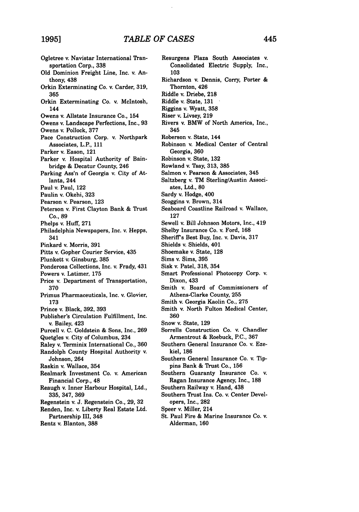Ogletree v. Navistar International Transportation Corp., **338 Old** Dominion Freight Line, Inc. v. Anthony, 438 Orkin Exterminating Co. v. Carder, **319, 365** Orkin Exterminating Co. v. McIntosh, 144 Owens v. Allstate Insurance Co., 154 Owens v. Landscape Perfections, Inc., **93** Owens **v.** Pollock, **377** Pace Construction Corp. v. Northpark Associates, L.P., 111 Parker v. Eason, 121 Parker v. Hospital Authority of Bainbridge & Decatur County, 246 Parking Ass'n of Georgia v. City of Atlanta, 244 Paul v. Paul, 122 Paulin v. Okehi, 323 Pearson v. Pearson, 123 Peterson v. First Clayton Bank & Trust Co., **89** Phelps v. Huff, 271 Philadelphia Newspapers, Inc. v. Hepps, 341 Pinkard v. Morris, 391 Pitts v. Gopher Courier Service, 435 Plunkett v. Ginsburg, 385 Ponderosa Collections, Inc. v. Frady, 431 Powers v. Latimer, 175 Price v. Department of Transportation, 370 Primus Pharmaceuticals, Inc. v. Glovier, **173** Prince v. Black, 392, 393 Publisher's Circulation Fulfillment, Inc. v. Bailey, 423 Purcell v. C. Goldstein & Sons, Inc., 269 Quetgles v. City of Columbus, 234 Raley v. Terminix International Co., 360 Randolph County Hospital Authority v. Johnson, 264 Raskin v. Wallace, 354 Realmark Investment Co. v. American Financial Corp., 48 Reaugh v. Inner Harbour Hospital, Ltd., 335, 347, 369 Regenstein v. **J.** Regenstein Co., **29,** 32 Renden, Inc. v. Liberty Real Estate Ltd. Partnership III, 348 Rentz v. Blanton, **388**

Resurgens Plaza South Associates v. Consolidated Electric Supply, Inc., **103** Richardson v. Dennis, Corry, Porter & Thornton, 426 Riddle v. Driebe, **218** Riddle v. State, **131** Riggins v. Wyatt, **358** Riser v. Livsey, **219** Rivers v. BMW of North America, Inc., 345 Roberson v. State, 144 Robinson v. Medical Center of Central Georgia, **360** Robinson v. State, **132** Rowland v. Tsay, 313, **385** Salmon v. Pearson & Associates, 345 Saltzberg v. TM Sterling/Austin Associates, Ltd., **80** Sardy v. Hodge, 400 Scoggins v. Brown, 314 Seaboard Coastline Railroad v. Wallace, **127** Sewell v. Bill Johnson Motors, Inc., 419 Shelby Insurance Co. v. Ford, **168** Sherifs Best Buy, Inc. v. Davis, **317** Shields v. Shields, 401 Shoemake v. State, **128** Sims v. Sims, **395** Sisk v. Patel, **318,** 354 Smart Professional Photocopy Corp. v. Dixon, 433 Smith v. Board of Commissioners of Athens-Clarke County, **255** Smith v. Georgia Kaolin Co., **275** Smith v. North Fulton Medical Center, **360** Snow v. State, **129** Sorrells Construction Co. v. Chandler Armentrout **&** Roebuck, P.C., **367** Southern General Insurance Co. v. Ezekiel, **186** Southern General Insurance Co. v. **Tip**pins Bank **&** Trust Co., **156** Southern Guaranty Insurance Co. **v.** Ragan Insurance Agency, Inc., **188** Southern Railway v. Hand, 438 Southern Trust Ins. Co. v. Center Developers, Inc., **282** Speer v. Miller, 214 St. Paul Fire **&** Marine Insurance Co. v. Alderman, **160**